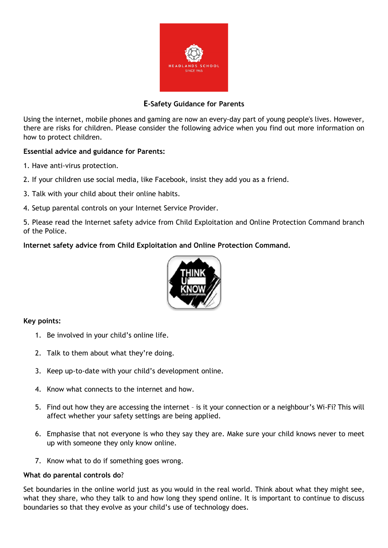

# **E-Safety Guidance for Parents**

Using the internet, mobile phones and gaming are now an every-day part of young people's lives. However, there are risks for children. Please consider the following advice when you find out more information on how to protect children.

## **Essential advice and guidance for Parents:**

- 1. Have anti-virus protection.
- 2. If your children use social media, like Facebook, insist they add you as a friend.
- 3. Talk with your child about their online habits.
- 4. Setup parental controls on your Internet Service Provider.

5. Please read the Internet safety advice from Child Exploitation and Online Protection Command branch of the Police.

**Internet safety advice from Child Exploitation and Online Protection Command.**



## **Key points:**

- 1. Be involved in your child's online life.
- 2. Talk to them about what they're doing.
- 3. Keep up-to-date with your child's development online.
- 4. Know what connects to the internet and how.
- 5. Find out how they are accessing the internet is it your connection or a neighbour's Wi-Fi? This will affect whether your safety settings are being applied.
- 6. Emphasise that not everyone is who they say they are. Make sure your child knows never to meet up with someone they only know online.
- 7. Know what to do if something goes wrong.

### **What do parental controls do**?

Set boundaries in the online world just as you would in the real world. Think about what they might see, what they share, who they talk to and how long they spend online. It is important to continue to discuss boundaries so that they evolve as your child's use of technology does.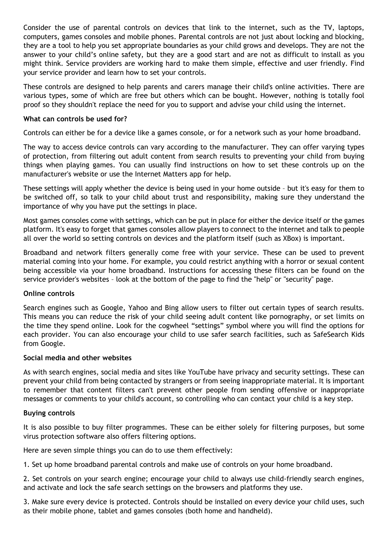Consider the use of parental controls on devices that link to the internet, such as the TV, laptops, computers, games consoles and mobile phones. Parental controls are not just about locking and blocking, they are a tool to help you set appropriate boundaries as your child grows and develops. They are not the answer to your child's online safety, but they are a good start and are not as difficult to install as you might think. Service providers are working hard to make them simple, effective and user friendly. Find your service provider and learn how to set your controls.

These controls are designed to help parents and carers manage their child's online activities. There are various types, some of which are free but others which can be bought. However, nothing is totally fool proof so they shouldn't replace the need for you to support and advise your child using the internet.

### **What can controls be used for?**

Controls can either be for a device like a games console, or for a network such as your home broadband.

The way to access device controls can vary according to the manufacturer. They can offer varying types of protection, from filtering out adult content from search results to preventing your child from buying things when playing games. You can usually find instructions on how to set these controls up on the manufacturer's website or use the Internet Matters app for help.

These settings will apply whether the device is being used in your home outside – but it's easy for them to be switched off, so talk to your child about trust and responsibility, making sure they understand the importance of why you have put the settings in place.

Most games consoles come with settings, which can be put in place for either the device itself or the games platform. It's easy to forget that games consoles allow players to connect to the internet and talk to people all over the world so setting controls on devices and the platform itself (such as XBox) is important.

Broadband and network filters generally come free with your service. These can be used to prevent material coming into your home. For example, you could restrict anything with a horror or sexual content being accessible via your home broadband. Instructions for accessing these filters can be found on the service provider's websites – look at the bottom of the page to find the "help" or "security" page.

### **Online controls**

Search engines such as Google, Yahoo and Bing allow users to filter out certain types of search results. This means you can reduce the risk of your child seeing adult content like pornography, or set limits on the time they spend online. Look for the cogwheel "settings" symbol where you will find the options for each provider. You can also encourage your child to use safer search facilities, such as SafeSearch Kids from Google.

### **Social media and other websites**

As with search engines, social media and sites like YouTube have privacy and security settings. These can prevent your child from being contacted by strangers or from seeing inappropriate material. It is important to remember that content filters can't prevent other people from sending offensive or inappropriate messages or comments to your child's account, so controlling who can contact your child is a key step.

### **Buying controls**

It is also possible to buy filter programmes. These can be either solely for filtering purposes, but some virus protection software also offers filtering options.

Here are seven simple things you can do to use them effectively:

1. Set up home broadband parental controls and make use of controls on your home broadband.

2. Set controls on your search engine; encourage your child to always use child-friendly search engines, and activate and lock the safe search settings on the browsers and platforms they use.

3. Make sure every device is protected. Controls should be installed on every device your child uses, such as their mobile phone, tablet and games consoles (both home and handheld).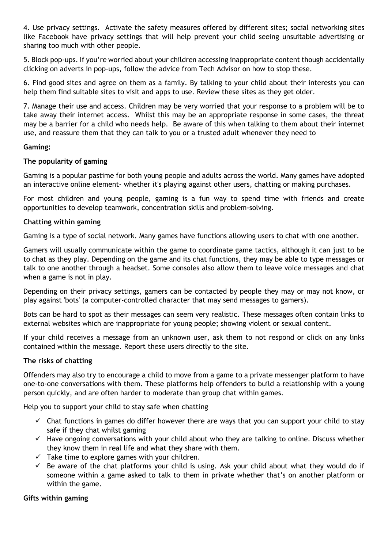4. Use privacy settings. Activate the safety measures offered by different sites; social networking sites like Facebook have privacy settings that will help prevent your child seeing unsuitable advertising or sharing too much with other people.

5. Block pop-ups. If you're worried about your children accessing inappropriate content though accidentally clicking on adverts in pop-ups, follow the advice from Tech Advisor on how to stop these.

6. Find good sites and agree on them as a family. By talking to your child about their interests you can help them find suitable sites to visit and apps to use. Review these sites as they get older.

7. Manage their use and access. Children may be very worried that your response to a problem will be to take away their internet access. Whilst this may be an appropriate response in some cases, the threat may be a barrier for a child who needs help. Be aware of this when talking to them about their internet use, and reassure them that they can talk to you or a trusted adult whenever they need to

## **Gaming:**

## **The popularity of gaming**

Gaming is a popular pastime for both young people and adults across the world. Many games have adopted an interactive online element- whether it's playing against other users, chatting or making purchases.

For most children and young people, gaming is a fun way to spend time with friends and create opportunities to develop teamwork, concentration skills and problem-solving.

## **Chatting within gaming**

Gaming is a type of social network. Many games have functions allowing users to chat with one another.

Gamers will usually communicate within the game to coordinate game tactics, although it can just to be to chat as they play. Depending on the game and its chat functions, they may be able to type messages or talk to one another through a headset. Some consoles also allow them to leave voice messages and chat when a game is not in play.

Depending on their privacy settings, gamers can be contacted by people they may or may not know, or play against 'bots' (a computer-controlled character that may send messages to gamers).

Bots can be hard to spot as their messages can seem very realistic. These messages often contain links to external websites which are inappropriate for young people; showing violent or sexual content.

If your child receives a message from an unknown user, ask them to not respond or click on any links contained within the message. Report these users directly to the site.

### **The risks of chatting**

Offenders may also try to encourage a child to move from a game to a private messenger platform to have one-to-one conversations with them. These platforms help offenders to build a relationship with a young person quickly, and are often harder to moderate than group chat within games.

Help you to support your child to stay safe when chatting

- $\checkmark$  Chat functions in games do differ however there are ways that you can support your child to stay safe if they chat whilst gaming
- $\checkmark$  Have ongoing conversations with your child about who they are talking to online. Discuss whether they know them in real life and what they share with them.
- $\checkmark$  Take time to explore games with your children.
- $\checkmark$  Be aware of the chat platforms your child is using. Ask your child about what they would do if someone within a game asked to talk to them in private whether that's on another platform or within the game.

### **Gifts within gaming**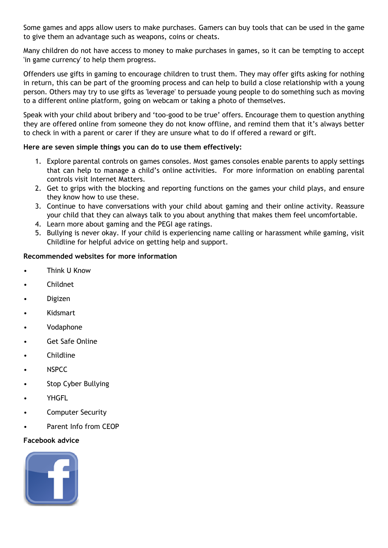Some games and apps allow users to make purchases. Gamers can buy tools that can be used in the game to give them an advantage such as weapons, coins or cheats.

Many children do not have access to money to make purchases in games, so it can be tempting to accept 'in game currency' to help them progress.

Offenders use gifts in gaming to encourage children to trust them. They may offer gifts asking for nothing in return, this can be part of the grooming process and can help to build a close relationship with a young person. Others may try to use gifts as 'leverage' to persuade young people to do something such as moving to a different online platform, going on webcam or taking a photo of themselves.

Speak with your child about bribery and 'too-good to be true' offers. Encourage them to question anything they are offered online from someone they do not know offline, and remind them that it's always better to check in with a parent or carer if they are unsure what to do if offered a reward or gift.

## **Here are seven simple things you can do to use them effectively:**

- 1. Explore parental controls on games consoles. Most games consoles enable parents to apply settings that can help to manage a child's online activities. For more information on enabling parental controls visit Internet Matters.
- 2. Get to grips with the blocking and reporting functions on the games your child plays, and ensure they know how to use these.
- 3. Continue to have conversations with your child about gaming and their online activity. Reassure your child that they can always talk to you about anything that makes them feel uncomfortable.
- 4. Learn more about gaming and the PEGI age ratings.
- 5. Bullying is never okay. If your child is experiencing name calling or harassment while gaming, visit Childline for helpful advice on getting help and support.

# **Recommended websites for more information**

- Think U Know
- Childnet
- Digizen
- Kidsmart
- Vodaphone
- Get Safe Online
- **Childline**
- NSPCC
- Stop Cyber Bullying
- **YHGFL**
- Computer Security
- Parent Info from CEOP

### **Facebook advice**